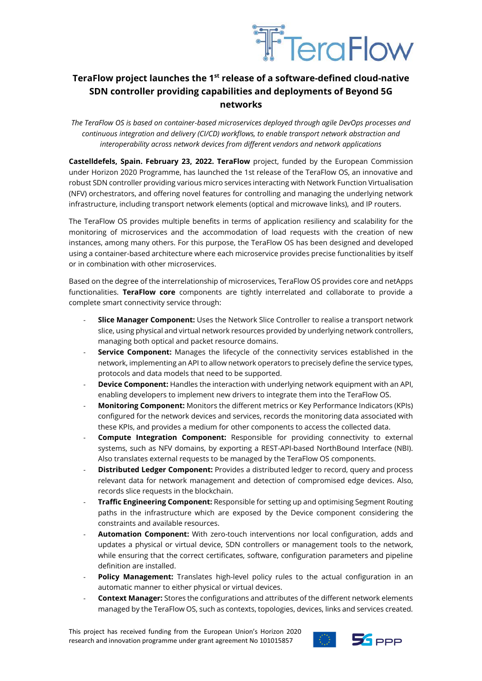

## **TeraFlow project launches the 1st release of a software-defined cloud-native SDN controller providing capabilities and deployments of Beyond 5G networks**

*The TeraFlow OS is based on container-based microservices deployed through agile DevOps processes and continuous integration and delivery (CI/CD) workflows, to enable transport network abstraction and interoperability across network devices from different vendors and network applications*

**Castelldefels, Spain. February 23, 2022. TeraFlow** project, funded by the European Commission under Horizon 2020 Programme, has launched the 1st release of the TeraFlow OS, an innovative and robust SDN controller providing various micro services interacting with Network Function Virtualisation (NFV) orchestrators, and offering novel features for controlling and managing the underlying network infrastructure, including transport network elements (optical and microwave links), and IP routers.

The TeraFlow OS provides multiple benefits in terms of application resiliency and scalability for the monitoring of microservices and the accommodation of load requests with the creation of new instances, among many others. For this purpose, the TeraFlow OS has been designed and developed using a container-based architecture where each microservice provides precise functionalities by itself or in combination with other microservices.

Based on the degree of the interrelationship of microservices, TeraFlow OS provides core and netApps functionalities. **TeraFlow core** components are tightly interrelated and collaborate to provide a complete smart connectivity service through:

- **Slice Manager Component:** Uses the Network Slice Controller to realise a transport network slice, using physical and virtual network resources provided by underlying network controllers, managing both optical and packet resource domains.
- **Service Component:** Manages the lifecycle of the connectivity services established in the network, implementing an API to allow network operators to precisely define the service types, protocols and data models that need to be supported.
- **Device Component:** Handles the interaction with underlying network equipment with an API, enabling developers to implement new drivers to integrate them into the TeraFlow OS.
- **Monitoring Component:** Monitors the different metrics or Key Performance Indicators (KPIs) configured for the network devices and services, records the monitoring data associated with these KPIs, and provides a medium for other components to access the collected data.
- **Compute Integration Component:** Responsible for providing connectivity to external systems, such as NFV domains, by exporting a REST-API-based NorthBound Interface (NBI). Also translates external requests to be managed by the TeraFlow OS components.
- **Distributed Ledger Component:** Provides a distributed ledger to record, query and process relevant data for network management and detection of compromised edge devices. Also, records slice requests in the blockchain.
- **Traffic Engineering Component:** Responsible for setting up and optimising Segment Routing paths in the infrastructure which are exposed by the Device component considering the constraints and available resources.
- Automation Component: With zero-touch interventions nor local configuration, adds and updates a physical or virtual device, SDN controllers or management tools to the network, while ensuring that the correct certificates, software, configuration parameters and pipeline definition are installed.
- **Policy Management:** Translates high-level policy rules to the actual configuration in an automatic manner to either physical or virtual devices.
- **Context Manager:** Stores the configurations and attributes of the different network elements managed by the TeraFlow OS, such as contexts, topologies, devices, links and services created.

This project has received funding from the European Union's Horizon 2020 research and innovation programme under grant agreement No 101015857